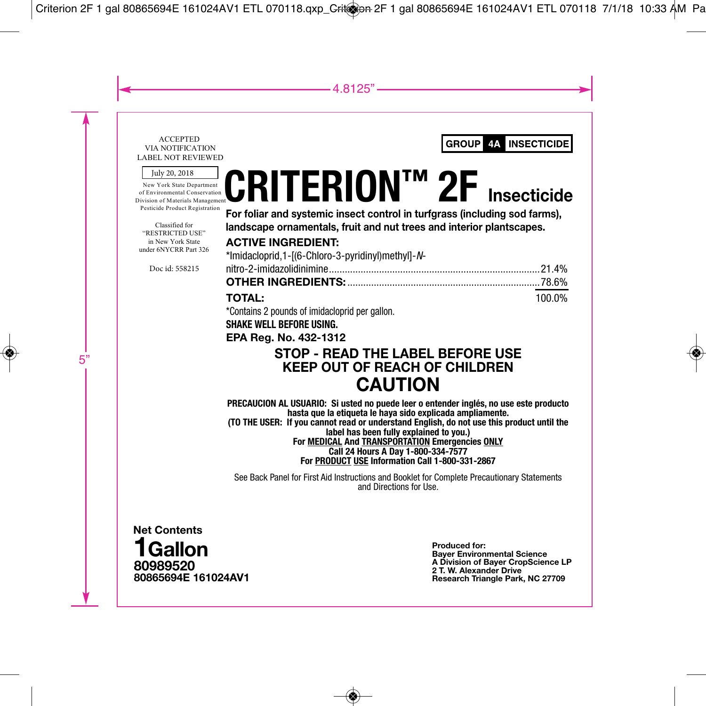#### ACCEPTED VIA NOTIFICATION LABEL NOT REVIEWED

July 20, 2018

New York State Department of Environmental Conservation Division of Materials Management Pesticide Product Registration

Classified for "RESTRICTED USE" in New York State under 6NYCRR Part 326

Doc id: 558215

# **CRITERION™ 2F Insecticide**

**For foliar and systemic insect control in turfgrass (including sod farms), landscape ornamentals, fruit and nut trees and interior plantscapes.**

# **ACTIVE INGREDIENT:**

| *Imidacloprid,1-[(6-Chloro-3-pyridinyl)methyl]-N-     |        |
|-------------------------------------------------------|--------|
|                                                       |        |
|                                                       |        |
| <b>TOTAL:</b>                                         | 100.0% |
| <b>*Contains O nounde of imidestential non nellen</b> |        |

\*Contains 2 pounds of imidacloprid per gallon.

## **SHAKE WELL BEFORE USING.**

**EPA Reg. No. 432-1312**

# **STOP - READ THE LABEL BEFORE USE KEEP OUT OF REACH OF CHILDREN CAUTION**

**PRECAUCION AL USUARIO: Si usted no puede leer o entender inglés, no use este producto hasta que la etiqueta le haya sido explicada ampliamente. (TO THE USER: If you cannot read or understand English, do not use this product until the** 

**label has been fully explained to you.)**

**For MEDICAL And TRANSPORTATION Emergencies ONLY Call 24 Hours A Day 1-800-334-7577 For PRODUCT USE Information Call 1-800-331-2867**

See Back Panel for First Aid Instructions and Booklet for Complete Precautionary Statements and Directions for Use.



**Produced for: Bayer Environmental Science A Division of Bayer CropScience LP 2 T. W. Alexander Drive Research Triangle Park, NC 27709**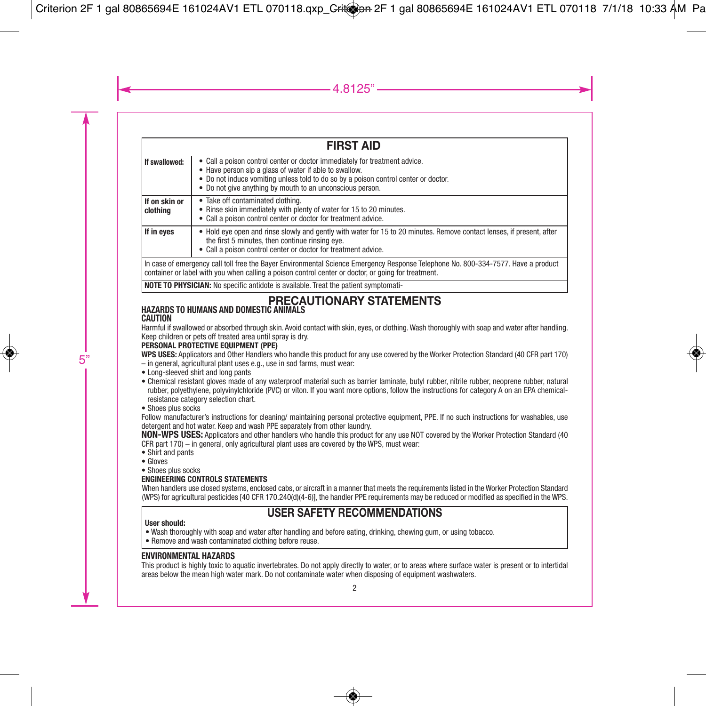|                                                                                                                                   | <b>FIRST AID</b>                                                                                                                                                                                                                                                                         |  |  |  |
|-----------------------------------------------------------------------------------------------------------------------------------|------------------------------------------------------------------------------------------------------------------------------------------------------------------------------------------------------------------------------------------------------------------------------------------|--|--|--|
| If swallowed:                                                                                                                     | • Call a poison control center or doctor immediately for treatment advice.<br>• Have person sip a glass of water if able to swallow.<br>• Do not induce vomiting unless told to do so by a poison control center or doctor.<br>• Do not give anything by mouth to an unconscious person. |  |  |  |
| lf on skin or<br>  clothina                                                                                                       | • Take off contaminated clothing.<br>• Rinse skin immediately with plenty of water for 15 to 20 minutes.<br>• Call a poison control center or doctor for treatment advice.                                                                                                               |  |  |  |
| If in eyes                                                                                                                        | • Hold eye open and rinse slowly and gently with water for 15 to 20 minutes. Remove contact lenses, if present, after<br>the first 5 minutes, then continue rinsing eve.<br>• Call a poison control center or doctor for treatment advice.                                               |  |  |  |
| In case of emergency call toll free the Rayer Environmental Science Emergency Response Telephone No. 800,224,7577, Have a product |                                                                                                                                                                                                                                                                                          |  |  |  |

In case of emergency call toll free the Bayer Environmental Science Emergency Response Telephone No. 800-334-7577. Have a product<br>container or label with you when calling a poison control center or doctor, or going for tre

**NOTE TO PHYSICIAN:** No specific antidote is available. Treat the patient symptomati-

#### **PRECAUTIONARY STATEMENTS HAZARDS TO HUMANS AND DOMESTIC ANIMALS**

#### **CAUTION**

Harmful if swallowed or absorbed through skin. Avoid contact with skin, eyes, or clothing.Wash thoroughly with soap and water after handling. Keep children or pets off treated area until spray is dry.

#### **PERSONAL PROTECTIVE EQUIPMENT (PPE)**

**WPS USES:** Applicators and Other Handlers who handle this product for any use covered by the Worker Protection Standard (40 CFR part 170)

- in general, agricultural plant uses e.g., use in sod farms, must wear:
- Long-sleeved shirt and long pants
- Chemical resistant gloves made of any waterproof material such as barrier laminate, butyl rubber, nitrile rubber, neoprene rubber, natural rubber, polyethylene, polyvinylchloride (PVC) or viton. If you want more options, follow the instructions for category A on an EPA chemicalresistance category selection chart.
- Shoes plus socks

Follow manufacturer's instructions for cleaning/ maintaining personal protective equipment, PPE. If no such instructions for washables, use detergent and hot water. Keep and wash PPE separately from other laundry.

**NON-WPS USES:** Applicators and other handlers who handle this product for any use NOT covered by the Worker Protection Standard (40 CFR part 170) – in general, only agricultural plant uses are covered by the WPS, must wear:

- Shirt and pants
- Gloves
- Shoes plus socks

#### **ENGINEERING CONTROLS STATEMENTS**

When handlers use closed systems, enclosed cabs, or aircraft in a manner that meets the requirements listed in the Worker Protection Standard (WPS) for agricultural pesticides [40 CFR 170.240(d)(4-6)], the handler PPE requirements may be reduced or modified as specified in the WPS.

# **USER SAFETY RECOMMENDATIONS**

#### **User should:**

- Wash thoroughly with soap and water after handling and before eating, drinking, chewing gum, or using tobacco.
- Remove and wash contaminated clothing before reuse.

#### **ENVIRONMENTAL HAZARDS**

This product is highly toxic to aquatic invertebrates. Do not apply directly to water, or to areas where surface water is present or to intertidal areas below the mean high water mark. Do not contaminate water when disposing of equipment washwaters.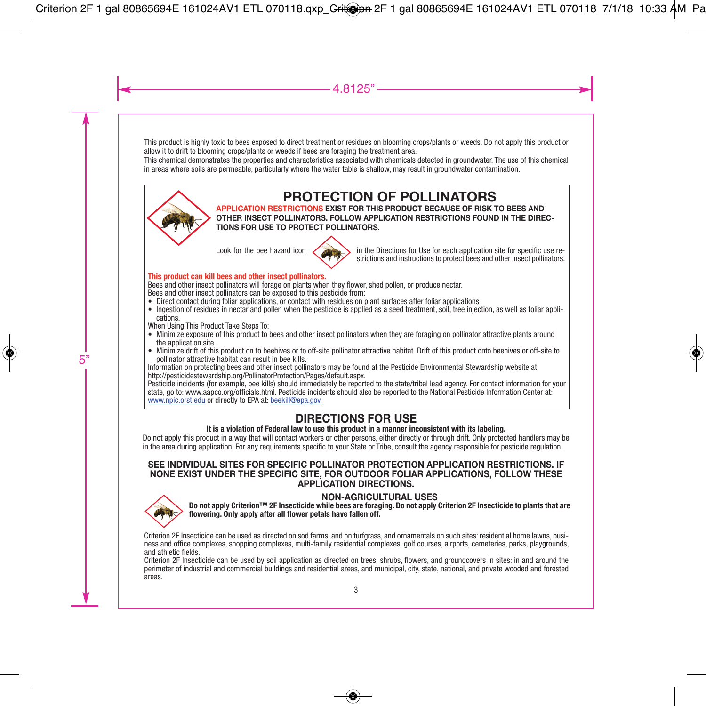This product is highly toxic to bees exposed to direct treatment or residues on blooming crops/plants or weeds. Do not apply this product or allow it to drift to blooming crops/plants or weeds if bees are foraging the treatment area.

This chemical demonstrates the properties and characteristics associated with chemicals detected in groundwater. The use of this chemical in areas where soils are permeable, particularly where the water table is shallow, may result in groundwater contamination.



# **PROTECTION OF POLLINATORS**

**APPLICATION RESTRICTIONS EXIST FOR THIS PRODUCT BECAUSE OF RISK TO BEES AND OTHER INSECT POLLINATORS. FOLLOW APPLICATION RESTRICTIONS FOUND IN THE DIREC-TIONS FOR USE TO PROTECT POLLINATORS.**



Look for the bee hazard icon  $\sim$  in the Directions for Use for each application site for specific use restrictions and instructions to protect bees and other insect pollinators.

#### **This product can kill bees and other insect pollinators.**

Bees and other insect pollinators will forage on plants when they flower, shed pollen, or produce nectar. Bees and other insect pollinators can be exposed to this pesticide from:

- Direct contact during foliar applications, or contact with residues on plant surfaces after foliar applications
- Ingestion of residues in nectar and pollen when the pesticide is applied as a seed treatment, soil, tree injection, as well as foliar appli-

cations.<br>When Using This Product Take Steps To:

- 
- Minimize exposure of this product to bees and other insect pollinators when they are foraging on pollinator attractive plants around<br>
the application site.<br>
 Minimize drift of this product on to beehives or to off-site

www.npic.orst.edu or directly to EPA at: beekill@epa.gov

# **DIRECTIONS FOR USE**

#### **It is a violation of Federal law to use this product in a manner inconsistent with its labeling.**

Do not apply this product in a way that will contact workers or other persons, either directly or through drift. Only protected handlers may be in the area during application. For any requirements specific to your State or Tribe, consult the agency responsible for pesticide regulation.

#### **SEE INDIVIDUAL SITES FOR SPECIFIC POLLINATOR PROTECTION APPLICATION RESTRICTIONS. IF NONE EXIST UNDER THE SPECIFIC SITE, FOR OUTDOOR FOLIAR APPLICATIONS, FOLLOW THESE APPLICATION DIRECTIONS.**



NON-AGRICULTURAL USES<br>Do not apply Criterion™ 2F Insecticide while bees are foraging. Do not apply Criterion 2F Insecticide to plants that are **flowering. Only apply after all flower petals have fallen off.**

Criterion 2F Insecticide can be used as directed on sod farms, and on turfgrass, and ornamentals on such sites: residential home lawns, business and office complexes, shopping complexes, multi-family residential complexes,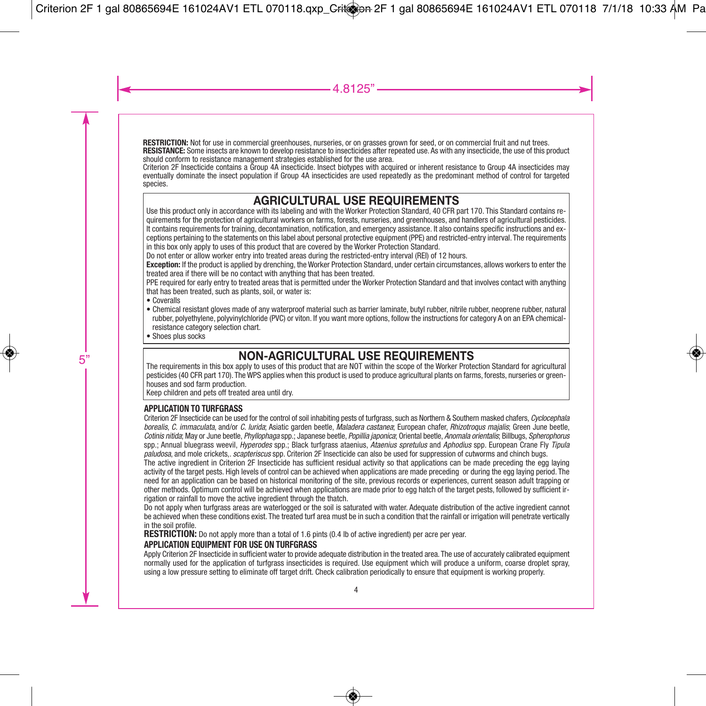**RESTRICTION:** Not for use in commercial greenhouses, nurseries, or on grasses grown for seed, or on commercial fruit and nut trees.<br>**RESISTANCE:** Some insects are known to develop resistance to insecticides after repeated

# **AGRICULTURAL USE REQUIREMENTS**

Use this product only in accordance with its labeling and with the Worker Protection Standard, 40 CFR part 170. This Standard contains requirements for the protection of agricultural workers on farms, forests, nurseries, and greenhouses, and handlers of agricultural pesticides. It contains requirements for training, decontamination, notification, and emergency assistance. It also contains specific instructions and exceptions pertaining to the statements on this label about personal protective equipment (PPE) and restricted-entry interval. The requirements in this box only apply to uses of this product that are covered by the Worker Protection Standard.

Do not enter or allow worker entry into treated areas during the restricted-entry interval (REI) of 12 hours.

**Exception:** If the product is applied by drenching, the Worker Protection Standard, under certain circumstances, allows workers to enter the treated area if there will be no contact with anything that has been treated.

PPE required for early entry to treated areas that is permitted under the Worker Protection Standard and that involves contact with anything that has been treated, such as plants, soil, or water is:

- Coveralls
- Chemical resistant gloves made of any waterproof material such as barrier laminate, butyl rubber, nitrile rubber, neoprene rubber, natural rubber, polyethylene, polyvinylchloride (PVC) or viton. If you want more options, follow the instructions for category A on an EPA chemicalresistance category selection chart.
- Shoes plus socks

# **NON-AGRICULTURAL USE REQUIREMENTS**

The requirements in this box apply to uses of this product that are NOT within the scope of the Worker Protection Standard for agricultural pesticides (40 CFR part 170). The WPS applies when this product is used to produce agricultural plants on farms, forests, nurseries or greenhouses and sod farm production.

Keep children and pets off treated area until dry.

#### **APPLICATION TO TURFGRASS**

Criterion 2F Insecticide can be used for the control of soil inhabiting pests of turfgrass, such as Northern & Southern masked chafers, *Cyclocephala borealis*, *C. immaculata*, and/or *C. lurida*; Asiatic garden beetle, *Maladera castanea*; European chafer, *Rhizotroqus majalis*; Green June beetle, *Cotinis nitida*; May or June beetle, *Phyllophaga* spp.; Japanese beetle, *Popillia japonica*; Oriental beetle, *Anomala orientalis*; Billbugs, *Spherophorus* spp.; Annual bluegrass weevil, *Hyperodes* spp.; Black turfgrass ataenius, *Ataenius spretulus* and *Aphodius* spp. European Crane Fly *Tipula paludosa*, and mole crickets,. *scapteriscus* spp. Criterion 2F Insecticide can also be used for suppression of cutworms and chinch bugs.

The active ingredient in Criterion 2F Insecticide has sufficient residual activity so that applications can be made preceding the egg laying activity of the target pests. High levels of control can be achieved when applications are made preceding or during the egg laying period. The need for an application can be based on historical monitoring of the site, previous records or experiences, current season adult trapping or other methods. Optimum control will be achieved when applications are made prior to egg hatch of the target pests, followed by sufficient irrigation or rainfall to move the active ingredient through the thatch.

Do not apply when turfgrass areas are waterlogged or the soil is saturated with water. Adequate distribution of the active ingredient cannot be achieved when these conditions exist. The treated turf area must be in such a condition that the rainfall or irrigation will penetrate vertically in the soil profile.

**RESTRICTION:** Do not apply more than a total of 1.6 pints (0.4 lb of active ingredient) per acre per year.

#### **APPLICATION EQUIPMENT FOR USE ON TURFGRASS**

Apply Criterion 2F Insecticide in sufficient water to provide adequate distribution in the treated area. The use of accurately calibrated equipment normally used for the application of turfgrass insecticides is required. Use equipment which will produce a uniform, coarse droplet spray, using a low pressure setting to eliminate off target drift. Check calibration periodically to ensure that equipment is working properly.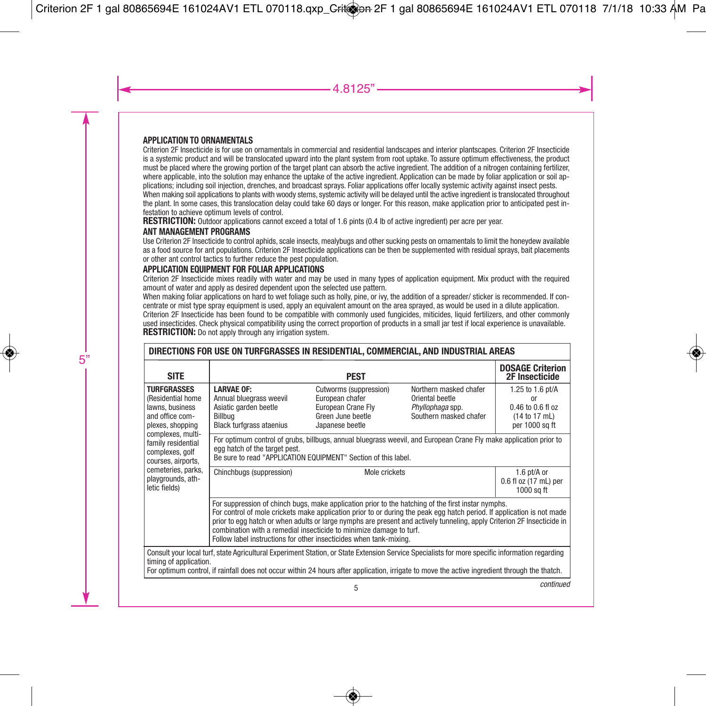#### **APPLICATION TO ORNAMENTALS**

Criterion 2F Insecticide is for use on ornamentals in commercial and residential landscapes and interior plantscapes. Criterion 2F Insecticide is a systemic product and will be translocated upward into the plant system from root uptake. To assure optimum effectiveness, the product must be placed where the growing portion of the target plant can absorb the active ingredient. The addition of a nitrogen containing fertilizer, where applicable, into the solution may enhance the uptake of the active ingredient. Application can be made by foliar application or soil applications; including soil injection, drenches, and broadcast sprays. Foliar applications offer locally systemic activity against insect pests. When making soil applications to plants with woody stems, systemic activity will be delayed until the active ingredient is translocated throughout

the plant. In some cases, this translocation delay could take 60 days or longer. For this reason, make application prior to anticipated pest infestation to achieve optimum levels of control.

**RESTRICTION:** Outdoor applications cannot exceed a total of 1.6 pints (0.4 lb of active ingredient) per acre per year.

#### **ANT MANAGEMENT PROGRAMS**

Use Criterion 2F Insecticide to control aphids, scale insects, mealybugs and other sucking pests on ornamentals to limit the honeydew available as a food source for ant populations. Criterion 2F Insecticide applications can be then be supplemented with residual sprays, bait placements or other ant control tactics to further reduce the pest population.

#### **APPLICATION EQUIPMENT FOR FOLIAR APPLICATIONS**

Criterion 2F Insecticide mixes readily with water and may be used in many types of application equipment. Mix product with the required amount of water and apply as desired dependent upon the selected use pattern.

When making foliar applications on hard to wet foliage such as holly, pine, or ivy, the addition of a spreader/ sticker is recommended. If concentrate or mist type spray equipment is used, apply an equivalent amount on the area sprayed, as would be used in a dilute application. Criterion 2F Insecticide has been found to be compatible with commonly used fungicides, miticides, liquid fertilizers, and other commonly used insecticides. Check physical compatibility using the correct proportion of products in a small jar test if local experience is unavailable. **RESTRICTION:** Do not apply through any irrigation system.

| DIRECTIONS FOR USE ON TURFGRASSES IN RESIDENTIAL, COMMERCIAL, AND INDUSTRIAL AREAS                                                                                                                                                                                                                                        |                                                                                                                                                                                                                                                                                                                                                                                                                                                                                                      |                                                                                                         |                                                                                         |                                                                                |  |
|---------------------------------------------------------------------------------------------------------------------------------------------------------------------------------------------------------------------------------------------------------------------------------------------------------------------------|------------------------------------------------------------------------------------------------------------------------------------------------------------------------------------------------------------------------------------------------------------------------------------------------------------------------------------------------------------------------------------------------------------------------------------------------------------------------------------------------------|---------------------------------------------------------------------------------------------------------|-----------------------------------------------------------------------------------------|--------------------------------------------------------------------------------|--|
| <b>SITE</b>                                                                                                                                                                                                                                                                                                               |                                                                                                                                                                                                                                                                                                                                                                                                                                                                                                      | <b>PEST</b>                                                                                             |                                                                                         | <b>DOSAGE Criterion</b><br>2F Insecticide                                      |  |
| <b>TURFGRASSES</b><br>(Residential home)<br>lawns, business<br>and office com-<br>plexes, shopping                                                                                                                                                                                                                        | <b>LARVAE OF:</b><br>Annual bluegrass weevil<br>Asiatic garden beetle<br>Billbua<br><b>Black turfgrass ataenius</b>                                                                                                                                                                                                                                                                                                                                                                                  | Cutworms (suppression)<br>European chafer<br>European Crane Flv<br>Green June beetle<br>Japanese beetle | Northern masked chafer<br>Oriental beetle<br>Phyllophaga spp.<br>Southern masked chafer | 1.25 to 1.6 pt/A<br>or<br>0.46 to 0.6 fl oz<br>(14 to 17 mL)<br>per 1000 sq ft |  |
| complexes, multi-<br>For optimum control of grubs, billbugs, annual bluegrass weevil, and European Crane Fly make application prior to<br>family residential<br>egg hatch of the target pest.<br>complexes, golf<br>Be sure to read "APPLICATION EQUIPMENT" Section of this label.<br>courses, airports,                  |                                                                                                                                                                                                                                                                                                                                                                                                                                                                                                      |                                                                                                         |                                                                                         |                                                                                |  |
| cemeteries, parks,<br>playgrounds, ath-<br>letic fields)                                                                                                                                                                                                                                                                  | Chinchbugs (suppression)<br>Mole crickets                                                                                                                                                                                                                                                                                                                                                                                                                                                            |                                                                                                         | 1.6 pt/A or<br>0.6 fl oz (17 mL) per<br>$1000$ sq ft                                    |                                                                                |  |
|                                                                                                                                                                                                                                                                                                                           | For suppression of chinch bugs, make application prior to the hatching of the first instar nymphs.<br>For control of mole crickets make application prior to or during the peak egg hatch period. If application is not made<br>prior to egg hatch or when adults or large nymphs are present and actively tunneling, apply Criterion 2F Insecticide in<br>combination with a remedial insecticide to minimize damage to turf.<br>Follow label instructions for other insecticides when tank-mixing. |                                                                                                         |                                                                                         |                                                                                |  |
| Consult your local turf, state Agricultural Experiment Station, or State Extension Service Specialists for more specific information regarding<br>timing of application.<br>For optimum control, if rainfall does not occur within 24 hours after application, irrigate to move the active ingredient through the thatch. |                                                                                                                                                                                                                                                                                                                                                                                                                                                                                                      |                                                                                                         |                                                                                         |                                                                                |  |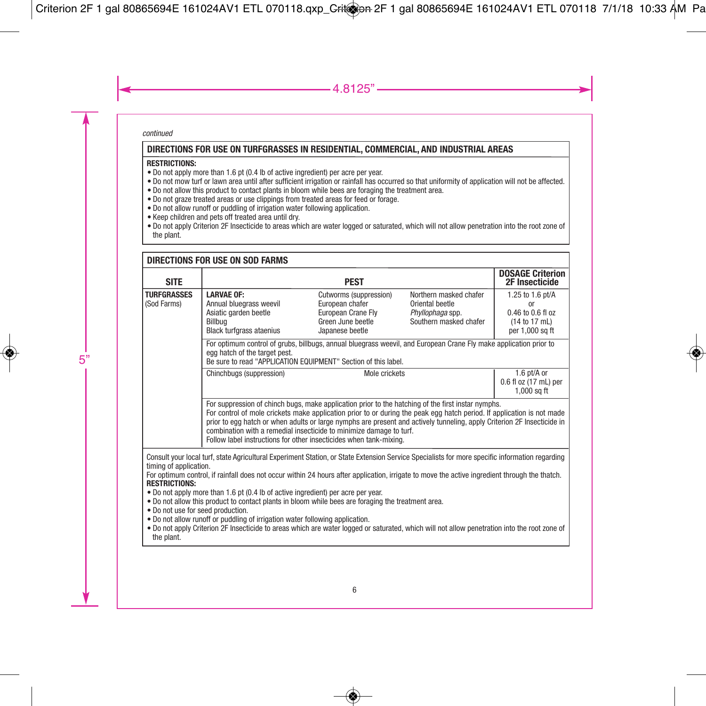*continued*

#### **DIRECTIONS FOR USE ON TURFGRASSES IN RESIDENTIAL, COMMERCIAL, AND INDUSTRIAL AREAS**

#### **RESTRICTIONS:**

- Do not apply more than 1.6 pt (0.4 lb of active ingredient) per acre per year.
- Do not mow turf or lawn area until after sufficient irrigation or rainfall has occurred so that uniformity of application will not be affected.
- Do not allow this product to contact plants in bloom while bees are foraging the treatment area.
- Do not graze treated areas or use clippings from treated areas for feed or forage.
- Do not allow runoff or puddling of irrigation water following application.
- Keep children and pets off treated area until dry.
- Do not apply Criterion 2F Insecticide to areas which are water logged or saturated, which will not allow penetration into the root zone of the plant.

#### **TURFGRASSES** (Sod Farms) **LARVAE OF:** Annual bluegrass weevil Asiatic garden beetle Billbug Black turfgrass ataenius Cutworms (suppression) European chafer European Crane Fly Green June beetle Japanese beetle Mole crickets 1.25 to 1.6 pt/A or 0.46 to 0.6 fl oz (14 to 17 mL) per 1,000 sq ft For optimum control of grubs, billbugs, annual bluegrass weevil, and European Crane Fly make application prior to egg hatch of the target pest. Be sure to read "APPLICATION EQUIPMENT" Section of this label. Chinchbugs (suppression) The Mole crickets The Mole of the U.S. of the 1.6 pt/A or 0.6 fl oz (17 mL) per  $1.000$  sq ft For suppression of chinch bugs, make application prior to the hatching of the first instar nymphs. For control of mole crickets make application prior to or during the peak egg hatch period. If application is not made prior to egg hatch or when adults or large nymphs are present and actively tunneling, apply Criterion 2F Insecticide in combination with a remedial insecticide to minimize damage to turf. Follow label instructions for other insecticides when tank-mixing. **DIRECTIONS FOR USE ON SOD FARMS PEST DOSAGE Criterion 2F Insecticide** Northern masked chafer Oriental beetle *Phyllophaga* spp. Southern masked chafer **SITE** Consult your local turf, state Agricultural Experiment Station, or State Extension Service Specialists for more specific information regarding timing of application. For optimum control, if rainfall does not occur within 24 hours after application, irrigate to move the active ingredient through the thatch. **RESTRICTIONS:** • Do not apply more than 1.6 pt (0.4 lb of active ingredient) per acre per year. • Do not allow this product to contact plants in bloom while bees are foraging the treatment area. • Do not use for seed production. • Do not allow runoff or puddling of irrigation water following application.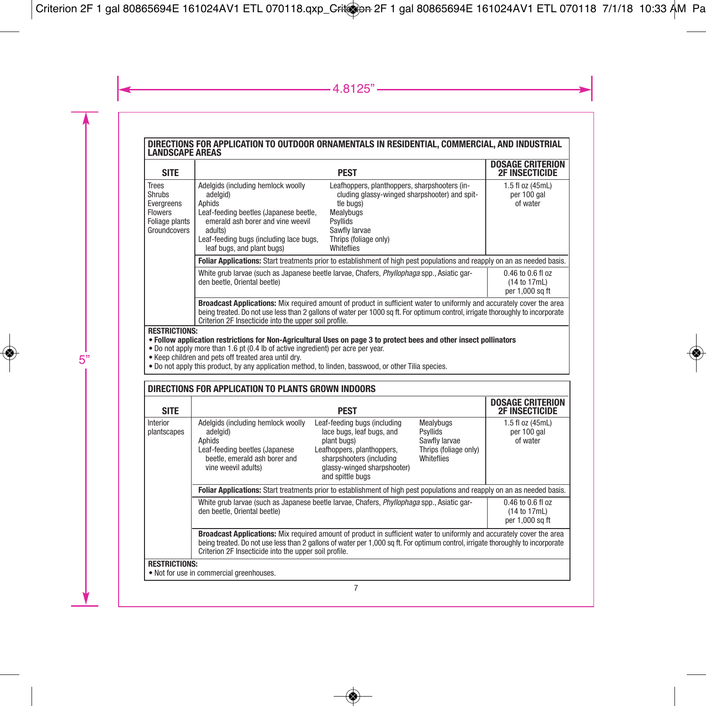# **DIRECTIONS FOR APPLICATION TO OUTDOOR ORNAMENTALS IN RESIDENTIAL, COMMERCIAL, AND INDUSTRIAL LANDSCAPE AREAS**

| <b>SITE</b>                                                                                                                                |                                                                                                                                                                                                                                                                                                                                                                                                                                                                                                                   | <b>PEST</b>                                                                                                                                                                                  | <b>DOSAGE CRITERION</b><br><b>2F INSECTICIDE</b> |  |
|--------------------------------------------------------------------------------------------------------------------------------------------|-------------------------------------------------------------------------------------------------------------------------------------------------------------------------------------------------------------------------------------------------------------------------------------------------------------------------------------------------------------------------------------------------------------------------------------------------------------------------------------------------------------------|----------------------------------------------------------------------------------------------------------------------------------------------------------------------------------------------|--------------------------------------------------|--|
| <b>Trees</b><br><b>Shrubs</b><br>Evergreens<br><b>Flowers</b><br>Foliage plants<br>Groundcovers                                            | Adelaids (including hemlock woolly<br>adelgid)<br>Aphids<br>Leaf-feeding beetles (Japanese beetle,<br>emerald ash borer and vine weevil<br>adults)<br>Leaf-feeding bugs (including lace bugs,<br>leaf bugs, and plant bugs)                                                                                                                                                                                                                                                                                       | Leafhoppers, planthoppers, sharpshooters (in-<br>cluding glassy-winged sharpshooter) and spit-<br>tle bugs)<br>Mealybugs<br>Psyllids<br>Sawfly larvae<br>Thrips (foliage only)<br>Whiteflies | 1.5 fl oz (45mL)<br>per 100 gal<br>of water      |  |
|                                                                                                                                            |                                                                                                                                                                                                                                                                                                                                                                                                                                                                                                                   | Foliar Applications: Start treatments prior to establishment of high pest populations and reapply on an as needed basis.                                                                     |                                                  |  |
|                                                                                                                                            | White grub larvae (such as Japanese beetle larvae, Chafers, Phyllophaga spp., Asiatic gar-<br>$0.46$ to $0.6$ fl oz<br>den beetle. Oriental beetle)<br>(14 to 17mL)<br>per 1.000 sq ft<br><b>Broadcast Applications:</b> Mix required amount of product in sufficient water to uniformly and accurately cover the area<br>being treated. Do not use less than 2 gallons of water per 1000 sq ft. For optimum control, irrigate thoroughly to incorporate<br>Criterion 2F Insecticide into the upper soil profile. |                                                                                                                                                                                              |                                                  |  |
|                                                                                                                                            |                                                                                                                                                                                                                                                                                                                                                                                                                                                                                                                   |                                                                                                                                                                                              |                                                  |  |
| <b>RESTRICTIONS:</b><br>• Follow application restrictions for Non-Agricultural Uses on page 3 to protect bees and other insect pollinators |                                                                                                                                                                                                                                                                                                                                                                                                                                                                                                                   |                                                                                                                                                                                              |                                                  |  |

- Do not apply more than 1.6 pt (0.4 lb of active ingredient) per acre per year.
- Keep children and pets off treated area until dry.
- Do not apply this product, by any application method, to linden, basswood, or other Tilia species.

#### **DIRECTIONS FOR APPLICATION TO PLANTS GROWN INDOORS**

| <b>SITE</b>                                                      |                                                                                                                                                                                                                                                                                                                   | <b>PEST</b>                                                                                                                                                                           |                                                                               | <b>DOSAGE CRITERION</b><br><b>2F INSECTICIDE</b> |  |  |
|------------------------------------------------------------------|-------------------------------------------------------------------------------------------------------------------------------------------------------------------------------------------------------------------------------------------------------------------------------------------------------------------|---------------------------------------------------------------------------------------------------------------------------------------------------------------------------------------|-------------------------------------------------------------------------------|--------------------------------------------------|--|--|
| Interior<br>plantscapes                                          | Adelgids (including hemlock woolly<br>adelgid)<br>Aphids<br>Leaf-feeding beetles (Japanese<br>beetle, emerald ash borer and<br>vine weevil adults)                                                                                                                                                                | Leaf-feeding bugs (including<br>lace bugs, leaf bugs, and<br>plant bugs)<br>Leafhoppers, planthoppers,<br>sharpshooters (including<br>glassy-winged sharpshooter)<br>and spittle bugs | Mealybugs<br>Psyllids<br>Sawfly larvae<br>Thrips (foliage only)<br>Whiteflies | 1.5 fl oz (45mL)<br>per 100 gal<br>of water      |  |  |
|                                                                  | Foliar Applications: Start treatments prior to establishment of high pest populations and reapply on an as needed basis.                                                                                                                                                                                          |                                                                                                                                                                                       |                                                                               |                                                  |  |  |
|                                                                  | White grub larvae (such as Japanese beetle larvae, Chafers, Phyllophaga spp., Asiatic gar-<br>$0.46$ to $0.6$ fl oz<br>den beetle. Oriental beetle)                                                                                                                                                               |                                                                                                                                                                                       |                                                                               |                                                  |  |  |
|                                                                  | Broadcast Applications: Mix required amount of product in sufficient water to uniformly and accurately cover the area<br>being treated. Do not use less than 2 gallons of water per 1,000 sq ft. For optimum control, irrigate thoroughly to incorporate<br>Criterion 2F Insecticide into the upper soil profile. |                                                                                                                                                                                       |                                                                               |                                                  |  |  |
| <b>RESTRICTIONS:</b><br>. Not for use in commercial greenhouses. |                                                                                                                                                                                                                                                                                                                   |                                                                                                                                                                                       |                                                                               |                                                  |  |  |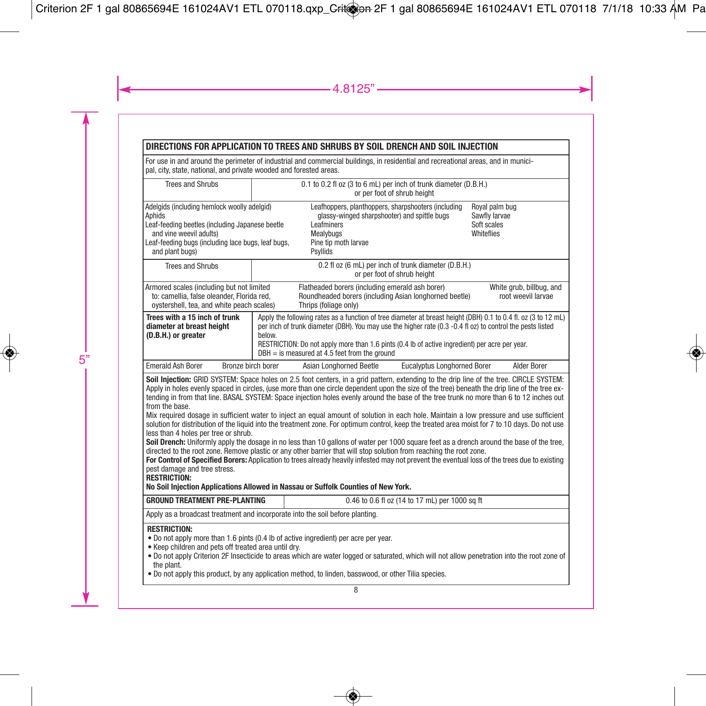# **DIRECTIONS FOR APPLICATION TO TREES AND SHRUBS BY SOIL DRENCH AND SOIL INJECTION**

For use in and around the perimeter of industrial and commercial buildings, in residential and recreational areas, and in municipal, city, state, national, and private wooded and forested areas.

| <b>Trees and Shrubs</b>                                                                                                                                                                                                                                                                                                                                                                                                                                                                                                                                                                                                                                                                                                                                                                                                                                                                                                                                                                                                                                                                                                                                                                                                                                                                                                                                    | 0.1 to 0.2 fl oz (3 to 6 mL) per inch of trunk diameter (D.B.H.)<br>or per foot of shrub height |                                                                                                                                                                    |                                                |                                                              |
|------------------------------------------------------------------------------------------------------------------------------------------------------------------------------------------------------------------------------------------------------------------------------------------------------------------------------------------------------------------------------------------------------------------------------------------------------------------------------------------------------------------------------------------------------------------------------------------------------------------------------------------------------------------------------------------------------------------------------------------------------------------------------------------------------------------------------------------------------------------------------------------------------------------------------------------------------------------------------------------------------------------------------------------------------------------------------------------------------------------------------------------------------------------------------------------------------------------------------------------------------------------------------------------------------------------------------------------------------------|-------------------------------------------------------------------------------------------------|--------------------------------------------------------------------------------------------------------------------------------------------------------------------|------------------------------------------------|--------------------------------------------------------------|
| Adelgids (including hemlock woolly adelgid)<br>Aphids<br>Leaf-feeding beetles (including Japanese beetle<br>and vine weevil adults)<br>Leaf-feeding bugs (including lace bugs, leaf bugs,<br>and plant bugs)                                                                                                                                                                                                                                                                                                                                                                                                                                                                                                                                                                                                                                                                                                                                                                                                                                                                                                                                                                                                                                                                                                                                               |                                                                                                 | Leafhoppers, planthoppers, sharpshooters (including<br>glassy-winged sharpshooter) and spittle bugs<br>Leafminers<br>Mealvbugs<br>Pine tip moth larvae<br>Psyllids |                                                | Roval palm bug<br>Sawfly larvae<br>Soft scales<br>Whiteflies |
| <b>Trees and Shrubs</b>                                                                                                                                                                                                                                                                                                                                                                                                                                                                                                                                                                                                                                                                                                                                                                                                                                                                                                                                                                                                                                                                                                                                                                                                                                                                                                                                    |                                                                                                 | 0.2 fl oz (6 mL) per inch of trunk diameter (D.B.H.)                                                                                                               | or per foot of shrub height                    |                                                              |
| Armored scales (including but not limited<br>to: camellia, false oleander, Florida red,<br>oystershell, tea, and white peach scales)                                                                                                                                                                                                                                                                                                                                                                                                                                                                                                                                                                                                                                                                                                                                                                                                                                                                                                                                                                                                                                                                                                                                                                                                                       |                                                                                                 | Flatheaded borers (including emerald ash borer)<br>Roundheaded borers (including Asian longhorned beetle)<br>Thrips (foliage only)                                 |                                                | White grub, billbug, and<br>root weevil larvae               |
| Apply the following rates as a function of tree diameter at breast height (DBH) 0.1 to 0.4 fl. oz (3 to 12 mL)<br>Trees with a 15 inch of trunk<br>diameter at breast height<br>per inch of trunk diameter (DBH). You may use the higher rate (0.3 -0.4 fl oz) to control the pests listed<br>(D.B.H.) or greater<br>below.<br>RESTRICTION: Do not apply more than 1.6 pints (0.4 lb of active ingredient) per acre per year.<br>$DBH =$ is measured at 4.5 feet from the ground                                                                                                                                                                                                                                                                                                                                                                                                                                                                                                                                                                                                                                                                                                                                                                                                                                                                           |                                                                                                 |                                                                                                                                                                    |                                                |                                                              |
| <b>Emerald Ash Borer</b><br>Bronze birch borer                                                                                                                                                                                                                                                                                                                                                                                                                                                                                                                                                                                                                                                                                                                                                                                                                                                                                                                                                                                                                                                                                                                                                                                                                                                                                                             |                                                                                                 | Asian Longhorned Beetle                                                                                                                                            | <b>Eucalyptus Longhorned Borer</b>             | Alder Borer                                                  |
| Soil Injection: GRID SYSTEM: Space holes on 2.5 foot centers, in a grid pattern, extending to the drip line of the tree. CIRCLE SYSTEM:<br>Apply in holes evenly spaced in circles, (use more than one circle dependent upon the size of the tree) beneath the drip line of the tree ex-<br>tending in from that line. BASAL SYSTEM: Space iniection holes evenly around the base of the tree trunk no more than 6 to 12 inches out<br>from the base.<br>Mix required dosage in sufficient water to inject an equal amount of solution in each hole. Maintain a low pressure and use sufficient<br>solution for distribution of the liquid into the treatment zone. For optimum control, keep the treated area moist for 7 to 10 days. Do not use<br>less than 4 holes per tree or shrub.<br>Soil Drench: Uniformly apply the dosage in no less than 10 gallons of water per 1000 square feet as a drench around the base of the tree,<br>directed to the root zone. Remove plastic or any other barrier that will stop solution from reaching the root zone.<br>For Control of Specified Borers: Application to trees already heavily infested may not prevent the eventual loss of the trees due to existing<br>pest damage and tree stress.<br><b>RESTRICTION:</b><br>No Soil Injection Applications Allowed in Nassau or Suffolk Counties of New York. |                                                                                                 |                                                                                                                                                                    |                                                |                                                              |
| <b>GROUND TREATMENT PRE-PLANTING</b>                                                                                                                                                                                                                                                                                                                                                                                                                                                                                                                                                                                                                                                                                                                                                                                                                                                                                                                                                                                                                                                                                                                                                                                                                                                                                                                       |                                                                                                 |                                                                                                                                                                    | 0.46 to 0.6 fl oz (14 to 17 mL) per 1000 sq ft |                                                              |
| Apply as a broadcast treatment and incorporate into the soil before planting.                                                                                                                                                                                                                                                                                                                                                                                                                                                                                                                                                                                                                                                                                                                                                                                                                                                                                                                                                                                                                                                                                                                                                                                                                                                                              |                                                                                                 |                                                                                                                                                                    |                                                |                                                              |
| <b>RESTRICTION:</b><br>. Do not apply more than 1.6 pints (0.4 lb of active ingredient) per acre per year.<br>. Keep children and pets off treated area until dry.<br>. Do not apply Criterion 2F Insecticide to areas which are water logged or saturated, which will not allow penetration into the root zone of<br>the plant.<br>• Do not apply this product, by any application method, to linden, basswood, or other Tilia species.                                                                                                                                                                                                                                                                                                                                                                                                                                                                                                                                                                                                                                                                                                                                                                                                                                                                                                                   |                                                                                                 |                                                                                                                                                                    |                                                |                                                              |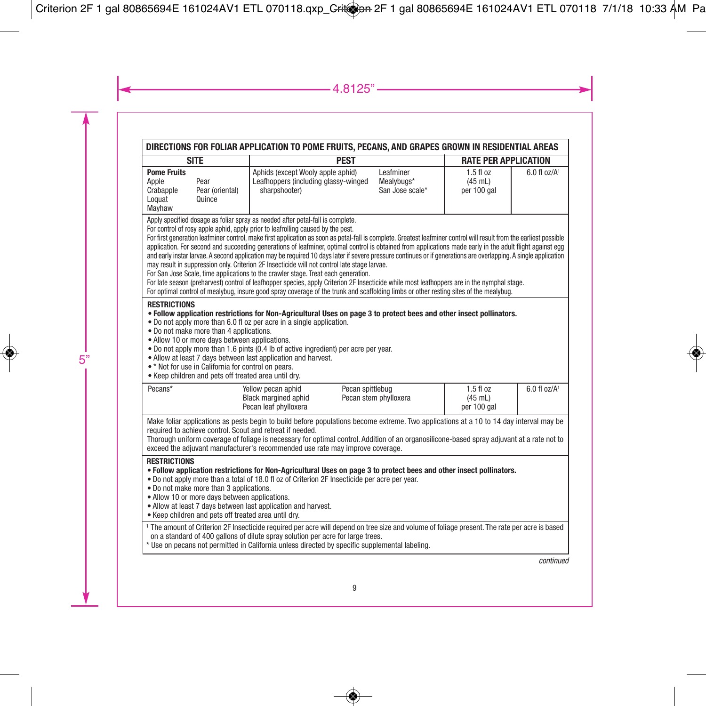| DIRECTIONS FOR FOLIAR APPLICATION TO POME FRUITS, PECANS, AND GRAPES GROWN IN RESIDENTIAL AREAS                                                                                                                                                                                                                                                                                                                                                                                                                                                                                                                                                                                                                                                                                                                                                                                                                                                                                                                                                                                                                                                          |                                                                                                                                                                                                                                                                                                                                                                                                                                                   |                                            |                                        |                            |
|----------------------------------------------------------------------------------------------------------------------------------------------------------------------------------------------------------------------------------------------------------------------------------------------------------------------------------------------------------------------------------------------------------------------------------------------------------------------------------------------------------------------------------------------------------------------------------------------------------------------------------------------------------------------------------------------------------------------------------------------------------------------------------------------------------------------------------------------------------------------------------------------------------------------------------------------------------------------------------------------------------------------------------------------------------------------------------------------------------------------------------------------------------|---------------------------------------------------------------------------------------------------------------------------------------------------------------------------------------------------------------------------------------------------------------------------------------------------------------------------------------------------------------------------------------------------------------------------------------------------|--------------------------------------------|----------------------------------------|----------------------------|
| <b>SITE</b><br><b>PEST</b>                                                                                                                                                                                                                                                                                                                                                                                                                                                                                                                                                                                                                                                                                                                                                                                                                                                                                                                                                                                                                                                                                                                               |                                                                                                                                                                                                                                                                                                                                                                                                                                                   |                                            | <b>RATE PER APPLICATION</b>            |                            |
| <b>Pome Fruits</b><br>Pear<br>Apple<br>Pear (oriental)<br>Crabapple<br>Quince<br>Loquat<br>Mayhaw                                                                                                                                                                                                                                                                                                                                                                                                                                                                                                                                                                                                                                                                                                                                                                                                                                                                                                                                                                                                                                                        | Aphids (except Wooly apple aphid)<br>Leafhoppers (including glassy-winged<br>sharpshooter)                                                                                                                                                                                                                                                                                                                                                        | Leafminer<br>Mealvbugs*<br>San Jose scale* | $1.5f$ loz<br>$(45$ mL)<br>per 100 gal | $6.0$ fl oz/A <sup>1</sup> |
| Apply specified dosage as foliar spray as needed after petal-fall is complete.<br>For control of rosy apple aphid, apply prior to leafrolling caused by the pest.<br>For first generation leafminer control, make first application as soon as petal-fall is complete. Greatest leafminer control will result from the earliest possible<br>application. For second and succeeding generations of leafminer, optimal control is obtained from applications made early in the adult flight against egg<br>and early instar larvae. A second application may be required 10 days later if severe pressure continues or if generations are overlapping. A single application<br>may result in suppression only. Criterion 2F Insecticide will not control late stage larvae.<br>For San Jose Scale, time applications to the crawler stage. Treat each generation.<br>For late season (preharvest) control of leafhopper species, apply Criterion 2F Insecticide while most leafhoppers are in the nymphal stage.<br>For optimal control of mealybug, insure good spray coverage of the trunk and scaffolding limbs or other resting sites of the mealybug. |                                                                                                                                                                                                                                                                                                                                                                                                                                                   |                                            |                                        |                            |
| <b>RESTRICTIONS</b><br>. Follow application restrictions for Non-Agricultural Uses on page 3 to protect bees and other insect pollinators.<br>• Do not apply more than 6.0 fl oz per acre in a single application.<br>. Do not make more than 4 applications.<br>• Allow 10 or more days between applications.<br>. Do not apply more than 1.6 pints (0.4 lb of active ingredient) per acre per year.<br>. Allow at least 7 days between last application and harvest.<br>.* Not for use in California for control on pears.<br>. Keep children and pets off treated area until dry.                                                                                                                                                                                                                                                                                                                                                                                                                                                                                                                                                                     |                                                                                                                                                                                                                                                                                                                                                                                                                                                   |                                            |                                        |                            |
| Pecans*                                                                                                                                                                                                                                                                                                                                                                                                                                                                                                                                                                                                                                                                                                                                                                                                                                                                                                                                                                                                                                                                                                                                                  | Yellow pecan aphid<br>Black margined aphid<br>Pecan leaf phylloxera                                                                                                                                                                                                                                                                                                                                                                               | Pecan spittlebug<br>Pecan stem phylloxera  | 1.5 fl oz<br>$(45$ mL)<br>per 100 gal  | $6.0$ fl oz/A <sup>1</sup> |
| Make foliar applications as pests begin to build before populations become extreme. Two applications at a 10 to 14 day interval may be<br>required to achieve control. Scout and retreat if needed.<br>Thorough uniform coverage of foliage is necessary for optimal control. Addition of an organosilicone-based spray adjuvant at a rate not to<br>exceed the adjuvant manufacturer's recommended use rate may improve coverage.                                                                                                                                                                                                                                                                                                                                                                                                                                                                                                                                                                                                                                                                                                                       |                                                                                                                                                                                                                                                                                                                                                                                                                                                   |                                            |                                        |                            |
| <b>RESTRICTIONS</b><br>. Do not make more than 3 applications.<br>· Allow 10 or more days between applications.<br>. Keep children and pets off treated area until dry.                                                                                                                                                                                                                                                                                                                                                                                                                                                                                                                                                                                                                                                                                                                                                                                                                                                                                                                                                                                  | . Follow application restrictions for Non-Agricultural Uses on page 3 to protect bees and other insect pollinators.<br>. Do not apply more than a total of 18.0 fl oz of Criterion 2F Insecticide per acre per year.<br>. Allow at least 7 days between last application and harvest.<br><sup>1</sup> The amount of Criterion 2F Insecticide required per acre will depend on tree size and volume of foliage present. The rate per acre is based |                                            |                                        |                            |
|                                                                                                                                                                                                                                                                                                                                                                                                                                                                                                                                                                                                                                                                                                                                                                                                                                                                                                                                                                                                                                                                                                                                                          | on a standard of 400 gallons of dilute spray solution per acre for large trees.<br>* Use on pecans not permitted in California unless directed by specific supplemental labeling.                                                                                                                                                                                                                                                                 |                                            |                                        |                            |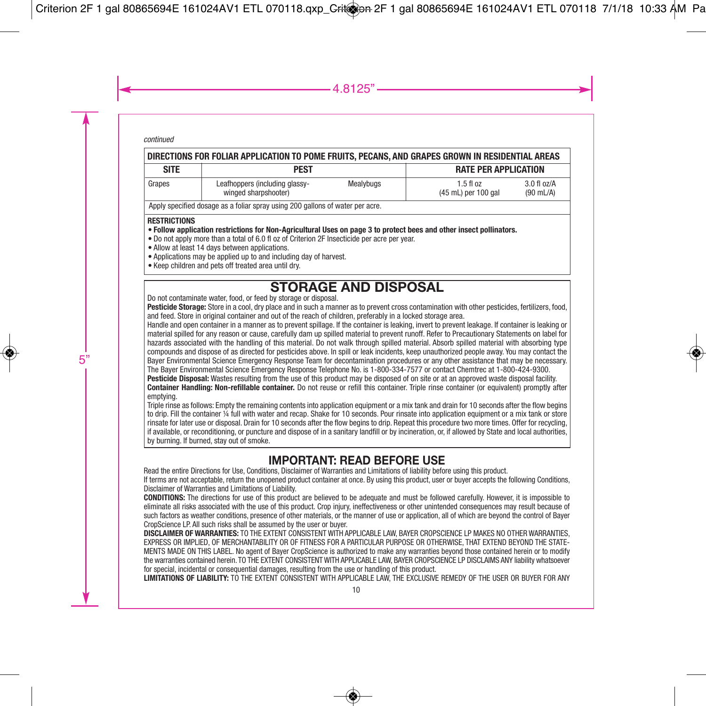| DIRECTIONS FOR FOLIAR APPLICATION TO POME FRUITS. PECANS. AND GRAPES GROWN IN RESIDENTIAL AREAS                                                                                                                                           |                                                        |           |                                      |                                        |  |
|-------------------------------------------------------------------------------------------------------------------------------------------------------------------------------------------------------------------------------------------|--------------------------------------------------------|-----------|--------------------------------------|----------------------------------------|--|
| <b>SITE</b>                                                                                                                                                                                                                               | PEST                                                   |           | <b>RATE PER APPLICATION</b>          |                                        |  |
| Grapes                                                                                                                                                                                                                                    | Leafhoppers (including glassy-<br>winged sharpshooter) | Mealybugs | $1.5$ fl $oz$<br>(45 mL) per 100 gal | $3.0$ fl $oz/A$<br>$(90 \text{ mL/A})$ |  |
| Apply specified dosage as a foliar spray using 200 gallons of water per acre.                                                                                                                                                             |                                                        |           |                                      |                                        |  |
| <b>RESTRICTIONS</b><br>. Follow application restrictions for Non-Agricultural Uses on page 3 to protect bees and other insect pollinators.<br>. Do not apply more than a total of 6.0 fl oz of Criterion 2E Insecticide per acre per year |                                                        |           |                                      |                                        |  |

- Do not apply more than a total of 6.0 fl oz of Criterion 2F Insecticide per acre per year. Allow at least 14 days between applications.
- Applications may be applied up to and including day of harvest.
- Keep children and pets off treated area until dry.

# **STORAGE AND DISPOSAL** Do not contaminate water, food, or feed by storage or disposal.

**Pesticide Storage:** Store in a cool, dry place and in such a manner as to prevent cross contamination with other pesticides, fertilizers, food, and feed. Store in original container and out of the reach of children, preferably in a locked storage area.

Handle and open container in a manner as to prevent spillage. If the container is leaking, invert to prevent leakage. If container is leaking or material spilled for any reason or cause, carefully dam up spilled material to prevent runoff. Refer to Precautionary Statements on label for hazards associated with the handling of this material. Do not walk through spilled material. Absorb spilled material with absorbing type compounds and dispose of as directed for pesticides above. In spill or leak incidents, keep unauthorized people away. You may contact the Bayer Environmental Science Emergency Response Team for decontamination procedures or any other assistance that may be necessary. The Bayer Environmental Science Emergency Response Telephone No. is 1-800-334-7577 or contact Chemtrec at 1-800-424-9300.

**Pesticide Disposal:** Wastes resulting from the use of this product may be disposed of on site or at an approved waste disposal facility.

**Container Handling: Non-refillable container.** Do not reuse or refill this container. Triple rinse container (or equivalent) promptly after emptying.

Triple rinse as follows: Empty the remaining contents into application equipment or a mix tank and drain for 10 seconds after the flow begins to drip. Fill the container ¼ full with water and recap. Shake for 10 seconds. Pour rinsate into application equipment or a mix tank or store rinsate for later use or disposal. Drain for 10 seconds after the flow begins to drip. Repeat this procedure two more times. Offer for recycling, if available, or reconditioning, or puncture and dispose of in a sanitary landfill or by incineration, or, if allowed by State and local authorities, by burning. If burned, stay out of smoke.

# **IMPORTANT: READ BEFORE USE**

Read the entire Directions for Use, Conditions, Disclaimer of Warranties and Limitations of liability before using this product.

If terms are not acceptable, return the unopened product container at once. By using this product, user or buyer accepts the following Conditions, Disclaimer of Warranties and Limitations of Liability.

**CONDITIONS:** The directions for use of this product are believed to be adequate and must be followed carefully. However, it is impossible to eliminate all risks associated with the use of this product. Crop injury, ineffectiveness or other unintended consequences may result because of such factors as weather conditions, presence of other materials, or the manner of use or application, all of which are beyond the control of Bayer CropScience LP. All such risks shall be assumed by the user or buyer.

**DISCLAIMER OF WARRANTIES:** TO THE EXTENT CONSISTENT WITH APPLICABLE LAW, BAYER CROPSCIENCE LP MAKES NO OTHER WARRANTIES, EXPRESS OR IMPLIED, OF MERCHANTABILITY OR OF FITNESS FOR A PARTICULAR PURPOSE OR OTHERWISE, THAT EXTEND BEYOND THE STATE-MENTS MADE ON THIS LABEL. No agent of Bayer CropScience is authorized to make any warranties beyond those contained herein or to modify the warranties contained herein. TO THE EXTENT CONSISTENT WITH APPLICABLE LAW, BAYER CROPSCIENCE LP DISCLAIMS ANY liability whatsoever for special, incidental or consequential damages, resulting from the use or handling of this product.

**LIMITATIONS OF LIABILITY:** TO THE EXTENT CONSISTENT WITH APPLICABLE LAW, THE EXCLUSIVE REMEDY OF THE USER OR BUYER FOR ANY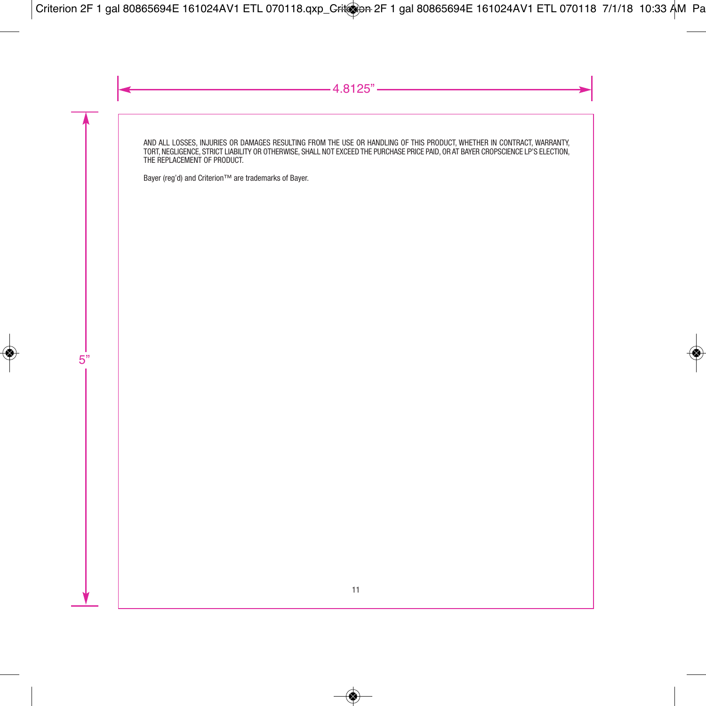AND ALL LOSSES, INJURIES OR DAMAGES RESULTING FROM THE USE OR HANDLING OF THIS PRODUCT, WHETHER IN CONTRACT, WARRANTY, TORT, NEGLIGENCE, STRICT LIABILITY OR OTHERWISE, SHALL NOT EXCEED THE PURCHASE PRICE PAID, OR AT BAYER CROPSCIENCE LP'S ELECTION, THE REPLACEMENT OF PRODUCT.

Bayer (reg'd) and Criterion™ are trademarks of Bayer.